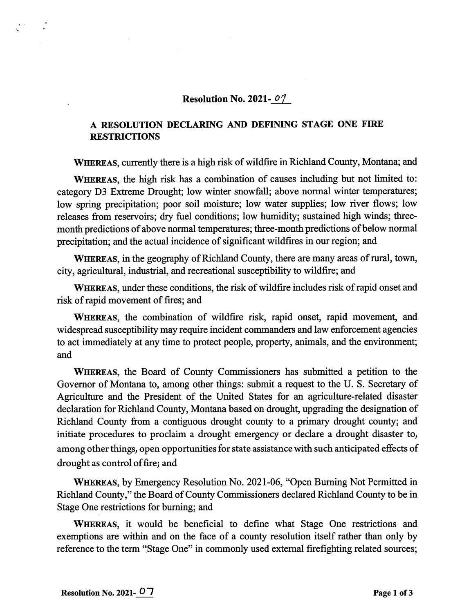## Resolution No. 2021- $\mathcal{O}$ 7

## A RESOLUTION DECLARING AND DEFINING STAGE ONE FIRE **RESTRICTIONS**

WHEREAS, currently there is a high risk of wildfire in Richland County, Montana; and

WHEREAS, the high risk has a combination of causes including but not limited to: category D3 Extreme Drought; low winter snowfall; above normal winter temperatures; low spring precipitation; poor soil moisture; low water supplies; low river flows; low releases from reservoirs; dry fuel conditions; low humidity; sustained high winds; threemonth predictions of above normal temperatures; three-month predictions of below normal precipitation; and the actual incidence of significant wildfires in our region; and

WHEREAS, in the geography of Richland County, there are many areas of rural, town, city, agricultural, industrial, and recreational susceptibility to wildfire; and

WHEREAS, under these conditions, the risk of wildfire includes risk of rapid onset and risk of rapid movement of fires; and

WHEREAS, the combination of wildfire risk, rapid onset, rapid movement, and widespread susceptibility may require incident commanders and law enforcement agencies to act immediately at any time to protect people, property, animals, and the environment; and

WHEREAS, the Board of County Commissioners has submitted a petition to the Governor of Montana to, among other things: submit a request to the U. S. Secretary of Agriculture and the President of the United States for an agriculture-related disaster declaration for Richland County, Montana based on drought, upgrading the designation of Richland County from a contiguous drought county to a primary drought county; and initiate procedures to proclaim a drought emergency or declare a drought disaster to, among other things, open opportunities for state assistance with such anticipated effects of drought as control of fire; and

Whereas, by Emergency Resolution No. 2021-06, "Open Buming Not Permitted in Richland County," the Board of County Commissioners declared Richland County to be in Stage One restrictions for buming; and

WHEREAS, it would be beneficial to define what Stage One restrictions and exemptions are within and on the face of a county resolution itself rather than only by reference to the term "Stage One" in commonly used external firefighting related sources;

 $\mathbf{S}^{(1)}$  and  $\mathbf{S}^{(2)}$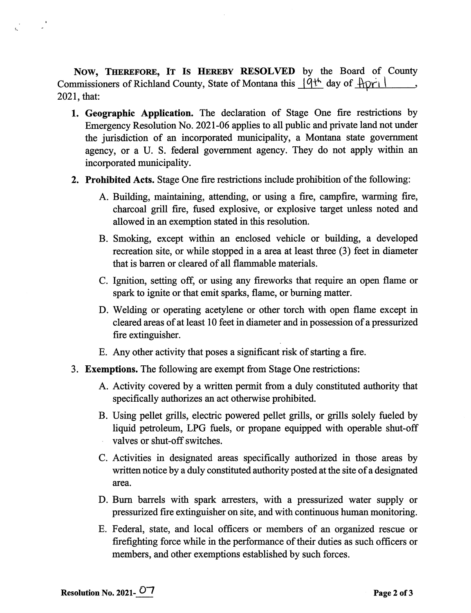NOW, THEREFORE, IT Is HEREBY RESOLVED by the Board of County Commissioners of Richland County, State of Montana this  $\frac{q\psi}{q}$  day of  $\frac{p\psi}{q}$ 2021, that:

- 1. Geographic Application. The declaration of Stage One fire restrictions by Emergency Resolution No. 2021-06 applies to all public and private land not under the jurisdiction of an incorporated municipality, a Montana state government agency, or a U. S. federal government agency. They do not apply within an incorporated municipality.
- 2. Prohibited Acts. Stage One fire restrictions include prohibition of the following:
	- A. Building, maintaining, attending, or using a fire, campfire, warming fire, charcoal grill fire, fused explosive, or explosive target unless noted and allowed in an exemption stated in this resolution.
	- B. Smoking, except within an enclosed vehicle or building, a developed recreation site, or while stopped in a area at least three (3) feet in diameter that is barren or cleared of all flammable materials.
	- C. Ignition, setting off, or using any fireworks that require an open flame or spark to ignite or that emit sparks, flame, or burning matter.
	- D. Welding or operating acetylene or other torch with open flame except in cleared areas of at least 10 feet in diameter and in possession of a pressurized fire extinguisher.
	- E. Any other activity that poses a significant risk of starting a fire.
- 3. Exemptions. The following are exempt from Stage One restrictions:
	- A. Activity covered by a written permit from a duly constituted authority that specifically authorizes an act otherwise prohibited.
	- B. Using pellet grills, electric powered pellet grills, or grills solely fueled by liquid petroleum, LPG fuels, or propane equipped with operable shut-off valves or shut-off switches.
	- C. Activities in designated areas specifically authorized in those areas by written notice by a duly constituted authority posted at the site of a designated area.
	- D. Bum barrels with spark arresters, with a pressurized water supply or pressurized fire extinguisher on site, and with continuous human monitoring.
	- E. Federal, state, and local officers or members of an organized rescue or firefighting force while in the performance of their duties as such officers or members, and other exemptions established by such forces.